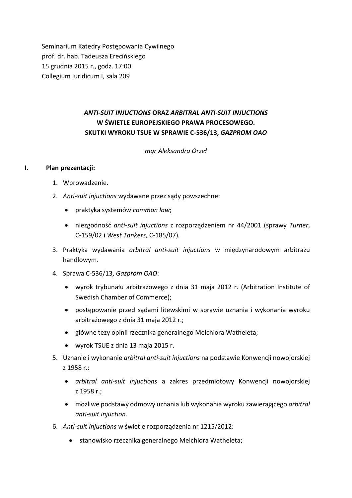Seminarium Katedry Postępowania Cywilnego prof. dr. hab. Tadeusza Erecińskiego 15 grudnia 2015 r., godz. 17:00 Collegium Iuridicum I, sala 209

# *ANTI-SUIT INJUCTIONS* **ORAZ** *ARBITRAL ANTI-SUIT INJUCTIONS* **W ŚWIETLE EUROPEJSKIEGO PRAWA PROCESOWEGO. SKUTKI WYROKU TSUE W SPRAWIE C-536/13,** *GAZPROM OAO*

#### *mgr Aleksandra Orzeł*

#### **I. Plan prezentacji:**

- 1. Wprowadzenie.
- 2. *Anti-suit injuctions* wydawane przez sądy powszechne:
	- praktyka systemów *common law*;
	- niezgodność *anti-suit injuctions* z rozporządzeniem nr 44/2001 (sprawy *Turner*, C-159/02 i *West Tankers,* C-185/07)*.*
- 3. Praktyka wydawania *arbitral anti-suit injuctions* w międzynarodowym arbitrażu handlowym.
- 4. Sprawa C-536/13, *Gazprom OAO*:
	- wyrok trybunału arbitrażowego z dnia 31 maja 2012 r. (Arbitration Institute of Swedish Chamber of Commerce);
	- postępowanie przed sądami litewskimi w sprawie uznania i wykonania wyroku arbitrażowego z dnia 31 maja 2012 r.;
	- główne tezy opinii rzecznika generalnego Melchiora Watheleta;
	- wyrok TSUE z dnia 13 maja 2015 r.
- 5. Uznanie i wykonanie *arbitral anti-suit injuctions* na podstawie Konwencji nowojorskiej z 1958 r.:
	- *arbitral anti-suit injuctions* a zakres przedmiotowy Konwencji nowojorskiej z 1958 r.;
	- możliwe podstawy odmowy uznania lub wykonania wyroku zawierającego *arbitral anti-suit injuction.*
- 6. *Anti-suit injuctions* w świetle rozporządzenia nr 1215/2012:
	- stanowisko rzecznika generalnego Melchiora Watheleta;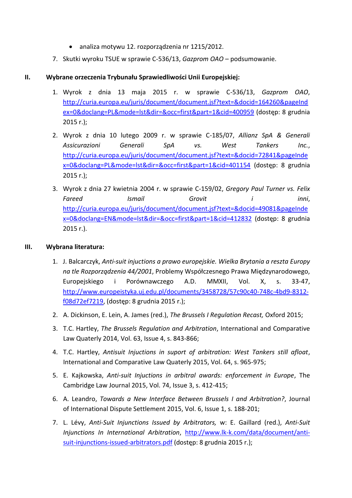- analiza motywu 12. rozporządzenia nr 1215/2012.
- 7. Skutki wyroku TSUE w sprawie C-536/13, *Gazprom OAO –* podsumowanie.

## **II. Wybrane orzeczenia Trybunału Sprawiedliwości Unii Europejskiej:**

- 1. Wyrok z dnia 13 maja 2015 r. w sprawie C-536/13, *Gazprom OAO*, [http://curia.europa.eu/juris/document/document.jsf?text=&docid=164260&pageInd](http://curia.europa.eu/juris/document/document.jsf?text=&docid=164260&pageIndex=0&doclang=PL&mode=lst&dir=&occ=first&part=1&cid=400959) [ex=0&doclang=PL&mode=lst&dir=&occ=first&part=1&cid=400959](http://curia.europa.eu/juris/document/document.jsf?text=&docid=164260&pageIndex=0&doclang=PL&mode=lst&dir=&occ=first&part=1&cid=400959) (dostęp: 8 grudnia 2015 r.);
- 2. Wyrok z dnia 10 lutego 2009 r. w sprawie C-185/07, *Allianz SpA & Generali Assicurazioni Generali SpA vs. West Tankers Inc.*, [http://curia.europa.eu/juris/document/document.jsf?text=&docid=72841&pageInde](http://curia.europa.eu/juris/document/document.jsf?text=&docid=72841&pageIndex=0&doclang=PL&mode=lst&dir=&occ=first&part=1&cid=401154) [x=0&doclang=PL&mode=lst&dir=&occ=first&part=1&cid=401154](http://curia.europa.eu/juris/document/document.jsf?text=&docid=72841&pageIndex=0&doclang=PL&mode=lst&dir=&occ=first&part=1&cid=401154) (dostęp: 8 grudnia 2015 r.);
- 3. Wyrok z dnia 27 kwietnia 2004 r. w sprawie C-159/02, *Gregory Paul Turner vs. Felix Fareed Ismail Grovit i inni*, [http://curia.europa.eu/juris/document/document.jsf?text=&docid=49081&pageInde](http://curia.europa.eu/juris/document/document.jsf?text=&docid=49081&pageIndex=0&doclang=EN&mode=lst&dir=&occ=first&part=1&cid=412832) [x=0&doclang=EN&mode=lst&dir=&occ=first&part=1&cid=412832](http://curia.europa.eu/juris/document/document.jsf?text=&docid=49081&pageIndex=0&doclang=EN&mode=lst&dir=&occ=first&part=1&cid=412832) (dostęp: 8 grudnia 2015 r.).

## **III. Wybrana literatura:**

- 1. J. Balcarczyk, *Anti-suit injuctions a prawo europejskie. Wielka Brytania a reszta Europy na tle Rozporządzenia 44/2001*, Problemy Współczesnego Prawa Międzynarodowego, Europejskiego i Porównawczego A.D. MMXII, Vol. X, s. 33-47, [http://www.europeistyka.uj.edu.pl/documents/3458728/57c90c40-748c-4bd9-8312](http://www.europeistyka.uj.edu.pl/documents/3458728/57c90c40-748c-4bd9-8312-f08d72ef7219) [f08d72ef7219,](http://www.europeistyka.uj.edu.pl/documents/3458728/57c90c40-748c-4bd9-8312-f08d72ef7219) (dostęp: 8 grudnia 2015 r.);
- 2. A. Dickinson, E. Lein, A. James (red.), *The Brussels I Regulation Recast,* Oxford 2015;
- 3. T.C. Hartley, *The Brussels Regulation and Arbitration*, International and Comparative Law Quaterly 2014, Vol. 63, Issue 4, s. 843-866;
- 4. T.C. Hartley, *Antisuit Injuctions in suport of arbitration: West Tankers still afloat*, International and Comparative Law Quaterly 2015, Vol. 64, s. 965-975;
- 5. E. Kajkowska, *Anti-suit Injuctions in arbitral awards: enforcement in Europe*, The Cambridge Law Journal 2015, Vol. 74, Issue 3, s. 412-415;
- 6. A. Leandro, *Towards a New Interface Between Brussels I and Arbitration?*, Journal of International Dispute Settlement 2015, Vol. 6, Issue 1, s. 188-201;
- 7. L. Lévy, *Anti-Suit Injunctions Issued by Arbitrators,* w: E. Gaillard (red.), *Anti-Suit Injunctions In International Arbitration*, [http://www.lk-k.com/data/document/anti](http://www.lk-k.com/data/document/anti-suit-injunctions-issued-arbitrators.pdf)[suit-injunctions-issued-arbitrators.pdf](http://www.lk-k.com/data/document/anti-suit-injunctions-issued-arbitrators.pdf) (dostęp: 8 grudnia 2015 r.);